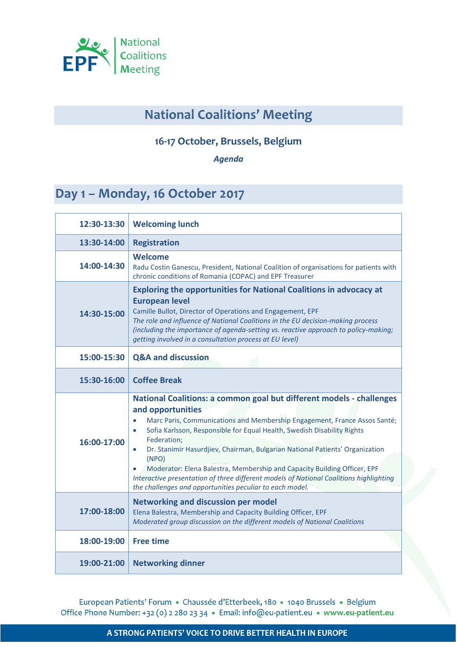

## **National Coalitions' Meeting**

## **16-17 October, Brussels, Belgium**

*Agenda*

## Day 1 - Monday, 16 October 2017

| 12:30-13:30 | <b>Welcoming lunch</b>                                                                                                                                                                                                                                                                                                                                                                                                                                                                                                                                                                                   |
|-------------|----------------------------------------------------------------------------------------------------------------------------------------------------------------------------------------------------------------------------------------------------------------------------------------------------------------------------------------------------------------------------------------------------------------------------------------------------------------------------------------------------------------------------------------------------------------------------------------------------------|
| 13:30-14:00 | <b>Registration</b>                                                                                                                                                                                                                                                                                                                                                                                                                                                                                                                                                                                      |
| 14:00-14:30 | Welcome<br>Radu Costin Ganescu, President, National Coalition of organisations for patients with<br>chronic conditions of Romania (COPAC) and EPF Treasurer                                                                                                                                                                                                                                                                                                                                                                                                                                              |
| 14:30-15:00 | <b>Exploring the opportunities for National Coalitions in advocacy at</b><br><b>European level</b><br>Camille Bullot, Director of Operations and Engagement, EPF<br>The role and influence of National Coalitions in the EU decision-making process<br>(including the importance of agenda-setting vs. reactive approach to policy-making;<br>getting involved in a consultation process at EU level)                                                                                                                                                                                                    |
| 15:00-15:30 | <b>Q&amp;A and discussion</b>                                                                                                                                                                                                                                                                                                                                                                                                                                                                                                                                                                            |
| 15:30-16:00 | <b>Coffee Break</b>                                                                                                                                                                                                                                                                                                                                                                                                                                                                                                                                                                                      |
| 16:00-17:00 | National Coalitions: a common goal but different models - challenges<br>and opportunities<br>Marc Paris, Communications and Membership Engagement, France Assos Santé;<br>Sofia Karlsson, Responsible for Equal Health, Swedish Disability Rights<br>Federation;<br>Dr. Stanimir Hasurdjiev, Chairman, Bulgarian National Patients' Organization<br>$\bullet$<br>(NPO)<br>Moderator: Elena Balestra, Membership and Capacity Building Officer, EPF<br>Interactive presentation of three different models of National Coalitions highlighting<br>the challenges and opportunities peculiar to each model. |
| 17:00-18:00 | <b>Networking and discussion per model</b><br>Elena Balestra, Membership and Capacity Building Officer, EPF<br>Moderated group discussion on the different models of National Coalitions                                                                                                                                                                                                                                                                                                                                                                                                                 |
| 18:00-19:00 | <b>Free time</b>                                                                                                                                                                                                                                                                                                                                                                                                                                                                                                                                                                                         |
| 19:00-21:00 | <b>Networking dinner</b>                                                                                                                                                                                                                                                                                                                                                                                                                                                                                                                                                                                 |

European Patients' Forum · Chaussée d'Etterbeek, 180 · 1040 Brussels · Belgium Office Phone Number: +32 (0) 2 280 23 34 · Email: info@eu-patient.eu · www.eu-patient.eu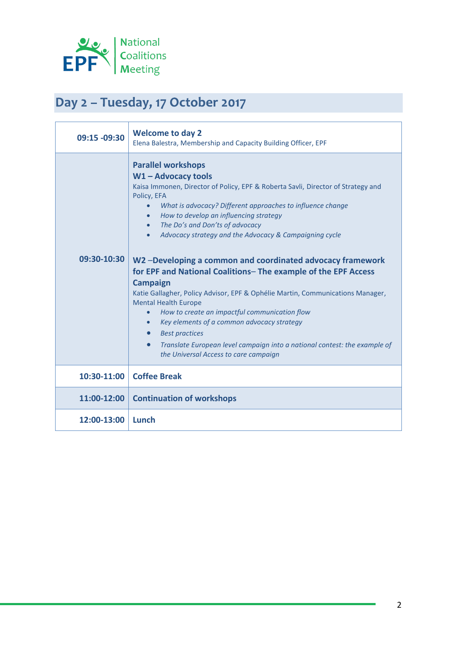

## Day 2 - Tuesday, 17 October 2017

| 09:15 -09:30 | <b>Welcome to day 2</b><br>Elena Balestra, Membership and Capacity Building Officer, EPF                                                                                                                                                                                                                                                                                                                                                                                                                                                                                                                                                                                                                                                                                                                                                                                                                                                                  |
|--------------|-----------------------------------------------------------------------------------------------------------------------------------------------------------------------------------------------------------------------------------------------------------------------------------------------------------------------------------------------------------------------------------------------------------------------------------------------------------------------------------------------------------------------------------------------------------------------------------------------------------------------------------------------------------------------------------------------------------------------------------------------------------------------------------------------------------------------------------------------------------------------------------------------------------------------------------------------------------|
| 09:30-10:30  | <b>Parallel workshops</b><br>$W1 -$ Advocacy tools<br>Kaisa Immonen, Director of Policy, EPF & Roberta Savli, Director of Strategy and<br>Policy, EFA<br>What is advocacy? Different approaches to influence change<br>$\bullet$<br>How to develop an influencing strategy<br>$\bullet$<br>The Do's and Don'ts of advocacy<br>Advocacy strategy and the Advocacy & Campaigning cycle<br>$\bullet$<br>W2-Developing a common and coordinated advocacy framework<br>for EPF and National Coalitions- The example of the EPF Access<br><b>Campaign</b><br>Katie Gallagher, Policy Advisor, EPF & Ophélie Martin, Communications Manager,<br><b>Mental Health Europe</b><br>How to create an impactful communication flow<br>$\bullet$<br>Key elements of a common advocacy strategy<br>$\bullet$<br><b>Best practices</b><br>Translate European level campaign into a national contest: the example of<br>$\bullet$<br>the Universal Access to care campaign |
| 10:30-11:00  | <b>Coffee Break</b>                                                                                                                                                                                                                                                                                                                                                                                                                                                                                                                                                                                                                                                                                                                                                                                                                                                                                                                                       |
| 11:00-12:00  | <b>Continuation of workshops</b>                                                                                                                                                                                                                                                                                                                                                                                                                                                                                                                                                                                                                                                                                                                                                                                                                                                                                                                          |
| 12:00-13:00  | Lunch                                                                                                                                                                                                                                                                                                                                                                                                                                                                                                                                                                                                                                                                                                                                                                                                                                                                                                                                                     |